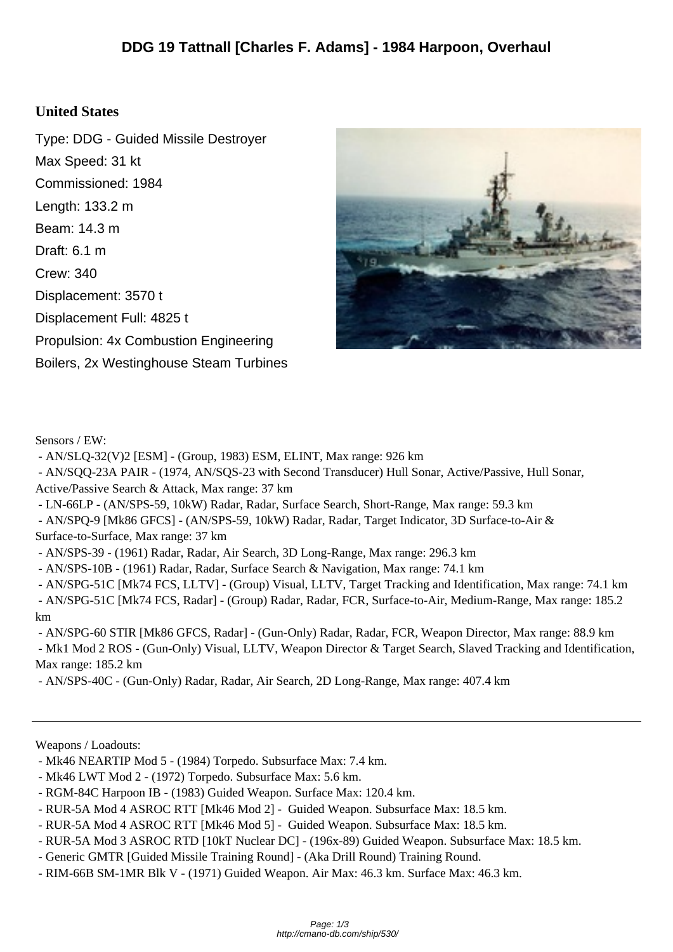## **United States**

Type: DDG - Guided Missile Destroyer Max Speed: 31 kt Commissioned: 1984 Length: 133.2 m Beam: 14.3 m Draft: 6.1 m Crew: 340 Displacement: 3570 t Displacement Full: 4825 t Propulsion: 4x Combustion Engineering Boilers, 2x Westinghouse Steam Turbines



Sensors / EW:

- AN/SLQ-32(V)2 [ESM] - (Group, 1983) ESM, ELINT, Max range: 926 km

 - AN/SQQ-23A PAIR - (1974, AN/SQS-23 with Second Transducer) Hull Sonar, Active/Passive, Hull Sonar, Active/Passive Search & Attack, Max range: 37 km

- LN-66LP - (AN/SPS-59, 10kW) Radar, Radar, Surface Search, Short-Range, Max range: 59.3 km

 - AN/SPQ-9 [Mk86 GFCS] - (AN/SPS-59, 10kW) Radar, Radar, Target Indicator, 3D Surface-to-Air & Surface-to-Surface, Max range: 37 km

- AN/SPS-39 - (1961) Radar, Radar, Air Search, 3D Long-Range, Max range: 296.3 km

- AN/SPS-10B - (1961) Radar, Radar, Surface Search & Navigation, Max range: 74.1 km

 - AN/SPG-51C [Mk74 FCS, LLTV] - (Group) Visual, LLTV, Target Tracking and Identification, Max range: 74.1 km - AN/SPG-51C [Mk74 FCS, Radar] - (Group) Radar, Radar, FCR, Surface-to-Air, Medium-Range, Max range: 185.2 km

 - AN/SPG-60 STIR [Mk86 GFCS, Radar] - (Gun-Only) Radar, Radar, FCR, Weapon Director, Max range: 88.9 km - Mk1 Mod 2 ROS - (Gun-Only) Visual, LLTV, Weapon Director & Target Search, Slaved Tracking and Identification, Max range: 185.2 km

- AN/SPS-40C - (Gun-Only) Radar, Radar, Air Search, 2D Long-Range, Max range: 407.4 km

Weapons / Loadouts:

- Mk46 NEARTIP Mod 5 (1984) Torpedo. Subsurface Max: 7.4 km.
- Mk46 LWT Mod 2 (1972) Torpedo. Subsurface Max: 5.6 km.
- RGM-84C Harpoon IB (1983) Guided Weapon. Surface Max: 120.4 km.
- RUR-5A Mod 4 ASROC RTT [Mk46 Mod 2] Guided Weapon. Subsurface Max: 18.5 km.
- RUR-5A Mod 4 ASROC RTT [Mk46 Mod 5] Guided Weapon. Subsurface Max: 18.5 km.
- RUR-5A Mod 3 ASROC RTD [10kT Nuclear DC] (196x-89) Guided Weapon. Subsurface Max: 18.5 km.
- Generic GMTR [Guided Missile Training Round] (Aka Drill Round) Training Round.
- RIM-66B SM-1MR Blk V (1971) Guided Weapon. Air Max: 46.3 km. Surface Max: 46.3 km.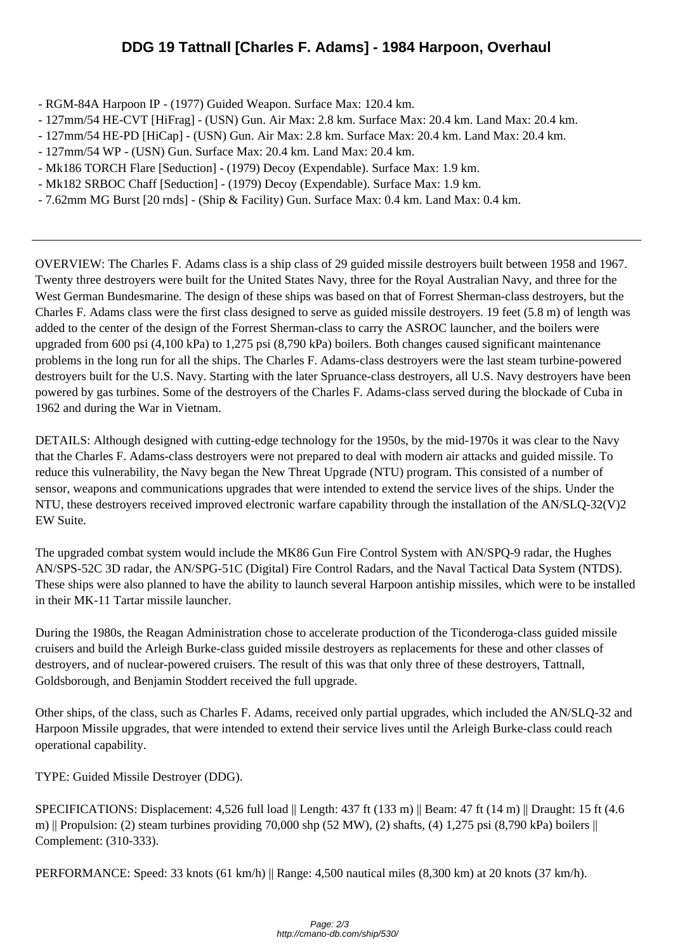- RGM-84A Har[poon IP \(1977\) Guided Weapon. Surface Max: 120.4 km.](http://cmano-db.com/ship/530/)
- 127mm/54 HE-CVT [HiFrag] (USN) Gun. Air Max: 2.8 km. Surface Max: 20.4 km. Land Max: 20.4 km.
- 127mm/54 HE-PD [HiCap] (USN) Gun. Air Max: 2.8 km. Surface Max: 20.4 km. Land Max: 20.4 km.
- 127mm/54 WP (USN) Gun. Surface Max: 20.4 km. Land Max: 20.4 km.
- Mk186 TORCH Flare [Seduction] (1979) Decoy (Expendable). Surface Max: 1.9 km.
- Mk182 SRBOC Chaff [Seduction] (1979) Decoy (Expendable). Surface Max: 1.9 km.
- 7.62mm MG Burst [20 rnds] (Ship & Facility) Gun. Surface Max: 0.4 km. Land Max: 0.4 km.

OVERVIEW: The Charles F. Adams class is a ship class of 29 guided missile destroyers built between 1958 and 1967. Twenty three destroyers were built for the United States Navy, three for the Royal Australian Navy, and three for the West German Bundesmarine. The design of these ships was based on that of Forrest Sherman-class destroyers, but the Charles F. Adams class were the first class designed to serve as guided missile destroyers. 19 feet (5.8 m) of length was added to the center of the design of the Forrest Sherman-class to carry the ASROC launcher, and the boilers were upgraded from 600 psi (4,100 kPa) to 1,275 psi (8,790 kPa) boilers. Both changes caused significant maintenance problems in the long run for all the ships. The Charles F. Adams-class destroyers were the last steam turbine-powered destroyers built for the U.S. Navy. Starting with the later Spruance-class destroyers, all U.S. Navy destroyers have been powered by gas turbines. Some of the destroyers of the Charles F. Adams-class served during the blockade of Cuba in 1962 and during the War in Vietnam.

DETAILS: Although designed with cutting-edge technology for the 1950s, by the mid-1970s it was clear to the Navy that the Charles F. Adams-class destroyers were not prepared to deal with modern air attacks and guided missile. To reduce this vulnerability, the Navy began the New Threat Upgrade (NTU) program. This consisted of a number of sensor, weapons and communications upgrades that were intended to extend the service lives of the ships. Under the NTU, these destroyers received improved electronic warfare capability through the installation of the AN/SLQ-32(V)2 EW Suite.

The upgraded combat system would include the MK86 Gun Fire Control System with AN/SPQ-9 radar, the Hughes AN/SPS-52C 3D radar, the AN/SPG-51C (Digital) Fire Control Radars, and the Naval Tactical Data System (NTDS). These ships were also planned to have the ability to launch several Harpoon antiship missiles, which were to be installed in their MK-11 Tartar missile launcher.

During the 1980s, the Reagan Administration chose to accelerate production of the Ticonderoga-class guided missile cruisers and build the Arleigh Burke-class guided missile destroyers as replacements for these and other classes of destroyers, and of nuclear-powered cruisers. The result of this was that only three of these destroyers, Tattnall, Goldsborough, and Benjamin Stoddert received the full upgrade.

Other ships, of the class, such as Charles F. Adams, received only partial upgrades, which included the AN/SLQ-32 and Harpoon Missile upgrades, that were intended to extend their service lives until the Arleigh Burke-class could reach operational capability.

TYPE: Guided Missile Destroyer (DDG).

SPECIFICATIONS: Displacement: 4,526 full load || Length: 437 ft (133 m) || Beam: 47 ft (14 m) || Draught: 15 ft (4.6 m) || Propulsion: (2) steam turbines providing 70,000 shp (52 MW), (2) shafts, (4) 1,275 psi (8,790 kPa) boilers  $\parallel$ Complement: (310-333).

PERFORMANCE: Speed: 33 knots (61 km/h) || Range: 4,500 nautical miles (8,300 km) at 20 knots (37 km/h).